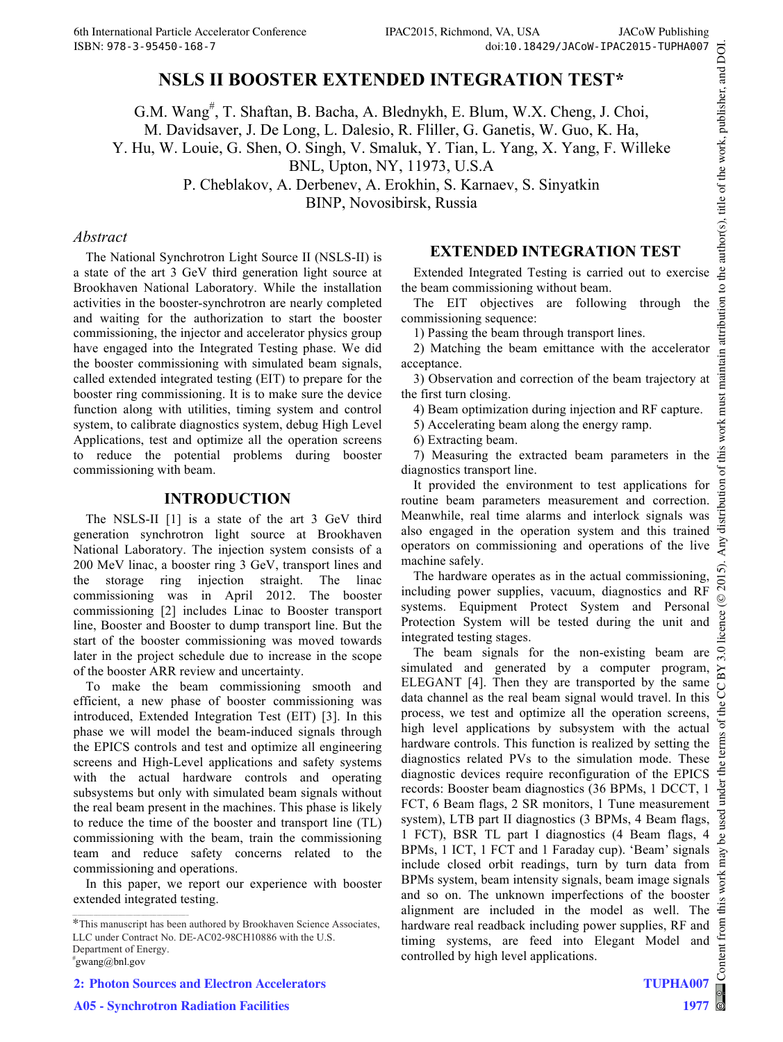# **NSLS II BOOSTER EXTENDED INTEGRATION TEST\***

G.M. Wang<sup>#</sup>, T. Shaftan, B. Bacha, A. Blednykh, E. Blum, W.X. Cheng, J. Choi, M. Davidsaver, J. De Long, L. Dalesio, R. Fliller, G. Ganetis, W. Guo, K. Ha,

Y. Hu, W. Louie, G. Shen, O. Singh, V. Smaluk, Y. Tian, L. Yang, X. Yang, F. Willeke

BNL, Upton, NY, 11973, U.S.A

P. Cheblakov, A. Derbenev, A. Erokhin, S. Karnaev, S. Sinyatkin

BINP, Novosibirsk, Russia

#### *Abstract*

The National Synchrotron Light Source II (NSLS-II) is a state of the art 3 GeV third generation light source at Brookhaven National Laboratory. While the installation activities in the booster-synchrotron are nearly completed and waiting for the authorization to start the booster commissioning, the injector and accelerator physics group have engaged into the Integrated Testing phase. We did the booster commissioning with simulated beam signals, called extended integrated testing (EIT) to prepare for the booster ring commissioning. It is to make sure the device function along with utilities, timing system and control system, to calibrate diagnostics system, debug High Level Applications, test and optimize all the operation screens to reduce the potential problems during booster commissioning with beam.

#### **INTRODUCTION**

The NSLS-II [1] is a state of the art 3 GeV third generation synchrotron light source at Brookhaven National Laboratory. The injection system consists of a 200 MeV linac, a booster ring 3 GeV, transport lines and the storage ring injection straight. The linac commissioning was in April 2012. The booster commissioning [2] includes Linac to Booster transport line, Booster and Booster to dump transport line. But the start of the booster commissioning was moved towards later in the project schedule due to increase in the scope of the booster ARR review and uncertainty.

To make the beam commissioning smooth and efficient, a new phase of booster commissioning was introduced, Extended Integration Test (EIT) [3]. In this phase we will model the beam-induced signals through the EPICS controls and test and optimize all engineering screens and High-Level applications and safety systems with the actual hardware controls and operating subsystems but only with simulated beam signals without the real beam present in the machines. This phase is likely to reduce the time of the booster and transport line (TL) commissioning with the beam, train the commissioning team and reduce safety concerns related to the commissioning and operations.

In this paper, we report our experience with booster extended integrated testing.

### **EXTENDED INTEGRATION TEST**

Extended Integrated Testing is carried out to exercise the beam commissioning without beam.

The EIT objectives are following through the commissioning sequence:

1) Passing the beam through transport lines.

2) Matching the beam emittance with the accelerator acceptance.

3) Observation and correction of the beam trajectory at the first turn closing.

4) Beam optimization during injection and RF capture.

5) Accelerating beam along the energy ramp.

6) Extracting beam.

7) Measuring the extracted beam parameters in the diagnostics transport line.

 2015). Any distribution of this work must maintain attribution to the author(s), title of the work, publisher, and DOI.ion It provided the environment to test applications for routine beam parameters measurement and correction. Meanwhile, real time alarms and interlock signals was distril also engaged in the operation system and this trained operators on commissioning and operations of the live machine safely. ົດ

The hardware operates as in the actual commissioning,  $\bar{\rm s}$ including power supplies, vacuum, diagnostics and RF systems. Equipment Protect System and Personal Protection System will be tested during the unit and integrated testing stages.

Content from this work may be used under the terms of the CC BY 3.0 licence ( $@$ The beam signals for the non-existing beam are simulated and generated by a computer program,  $\mathbf{X}$ ELEGANT [4]. Then they are transported by the same g data channel as the real beam signal would travel. In this process, we test and optimize all the operation screens, đ high level applications by subsystem with the actual hardware controls. This function is realized by setting the diagnostics related PVs to the simulation mode. These diagnostic devices require reconfiguration of the EPICS ਼ੋਂਬੁ records: Booster beam diagnostics (36 BPMs, 1 DCCT, 1 FCT, 6 Beam flags, 2 SR monitors, 1 Tune measurement system), LTB part II diagnostics (3 BPMs, 4 Beam flags, 1 FCT), BSR TL part I diagnostics (4 Beam flags, 4  $\mathcal{S}$ BPMs, 1 ICT, 1 FCT and 1 Faraday cup). 'Beam' signals include closed orbit readings, turn by turn data from work BPMs system, beam intensity signals, beam image signals and so on. The unknown imperfections of the booster this alignment are included in the model as well. The hardware real readback including power supplies, RF and timing systems, are feed into Elegant Model and lent controlled by high level applications.

©

author(s), title of the work, publisher, and DOI.

the  $\overline{S}$ 

maintain attribution

his work must

đ

<sup>\*</sup>This manuscript has been authored by Brookhaven Science Associates, LLC under Contract No. DE-AC02-98CH10886 with the U.S. Department of Energy. # gwang@bnl.gov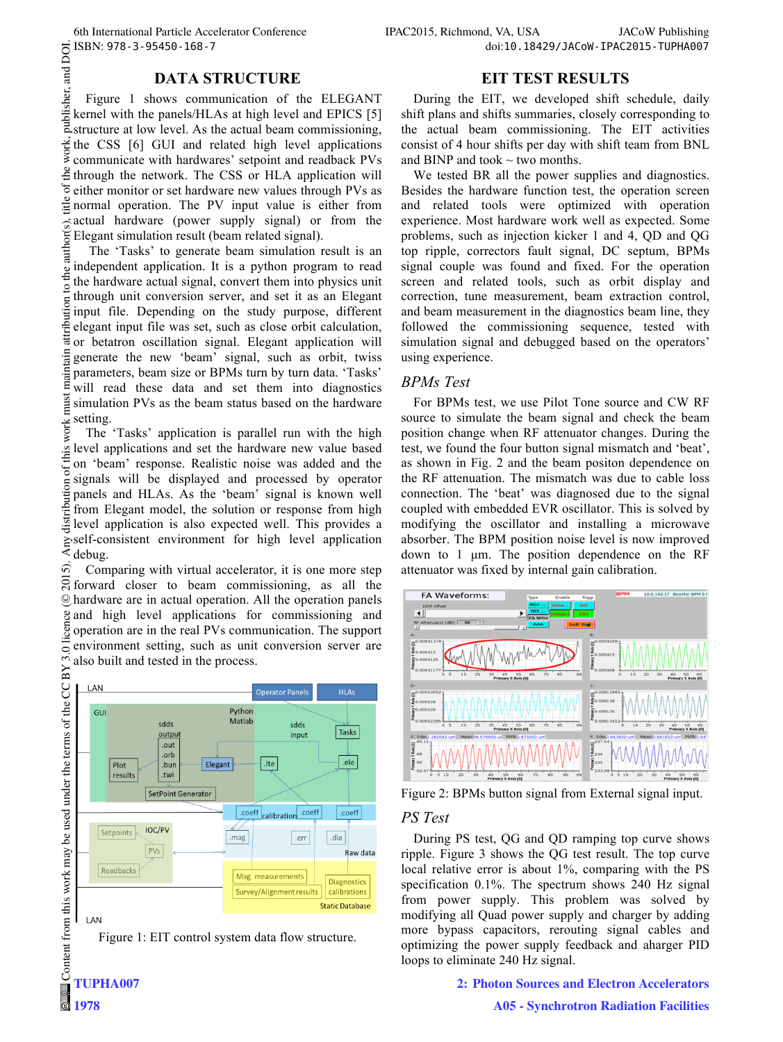#### **DATA STRUCTURE**

Figure 1 shows communication of the ELEGANT kernel with the panels/HLAs at high level and EPICS [5] structure at low level. As the actual beam commissioning, work, the CSS [6] GUI and related high level applications communicate with hardwares' setpoint and readback PVs  $\frac{3}{2}$  through the network. The CSS or HLA application will  $\sigma$ either monitor or set hardware new values through PVs as itle normal operation. The PV input value is either from actual hardware (power supply signal) or from the Elegant simulation result (beam related signal).

 2015). Any distribution of this work must maintain attribution to the author(s), title of the work, publisher, and DOI. author The 'Tasks' to generate beam simulation result is an independent application. It is a python program to read o the the hardware actual signal, convert them into physics unit through unit conversion server, and set it as an Elegant attribution input file. Depending on the study purpose, different elegant input file was set, such as close orbit calculation, or betatron oscillation signal. Elegant application will generate the new 'beam' signal, such as orbit, twiss parameters, beam size or BPMs turn by turn data. 'Tasks' will read these data and set them into diagnostics must simulation PVs as the beam status based on the hardware setting.

work: The 'Tasks' application is parallel run with the high of this level applications and set the hardware new value based on 'beam' response. Realistic noise was added and the signals will be displayed and processed by operator distribution panels and HLAs. As the 'beam' signal is known well from Elegant model, the solution or response from high level application is also expected well. This provides a self-consistent environment for high level application debug.

ົດ Comparing with virtual accelerator, it is one more step  $\overline{S}$  forward closer to beam commissioning, as all the hardware are in actual operation. All the operation panels ©and high level applications for commissioning and licen operation are in the real PVs communication. The support environment setting, such as unit conversion server are also built and tested in the process.



**1978**

Figure 1: EIT control system data flow structure.

### **EIT TEST RESULTS**

During the EIT, we developed shift schedule, daily shift plans and shifts summaries, closely corresponding to the actual beam commissioning. The EIT activities consist of 4 hour shifts per day with shift team from BNL and BINP and took  $\sim$  two months.

We tested BR all the power supplies and diagnostics. Besides the hardware function test, the operation screen and related tools were optimized with operation experience. Most hardware work well as expected. Some problems, such as injection kicker 1 and 4, QD and QG top ripple, correctors fault signal, DC septum, BPMs signal couple was found and fixed. For the operation screen and related tools, such as orbit display and correction, tune measurement, beam extraction control, and beam measurement in the diagnostics beam line, they followed the commissioning sequence, tested with simulation signal and debugged based on the operators' using experience.

### *BPMs Test*

For BPMs test, we use Pilot Tone source and CW RF source to simulate the beam signal and check the beam position change when RF attenuator changes. During the test, we found the four button signal mismatch and 'beat', as shown in Fig. 2 and the beam positon dependence on the RF attenuation. The mismatch was due to cable loss connection. The 'beat' was diagnosed due to the signal coupled with embedded EVR oscillator. This is solved by modifying the oscillator and installing a microwave absorber. The BPM position noise level is now improved down to 1 µm. The position dependence on the RF attenuator was fixed by internal gain calibration.



Figure 2: BPMs button signal from External signal input.

## *PS Test*

During PS test, QG and QD ramping top curve shows ripple. Figure 3 shows the QG test result. The top curve local relative error is about 1%, comparing with the PS specification 0.1%. The spectrum shows 240 Hz signal from power supply. This problem was solved by modifying all Quad power supply and charger by adding more bypass capacitors, rerouting signal cables and optimizing the power supply feedback and aharger PID loops to eliminate 240 Hz signal.

**2: Photon Sources and Electron Accelerators**